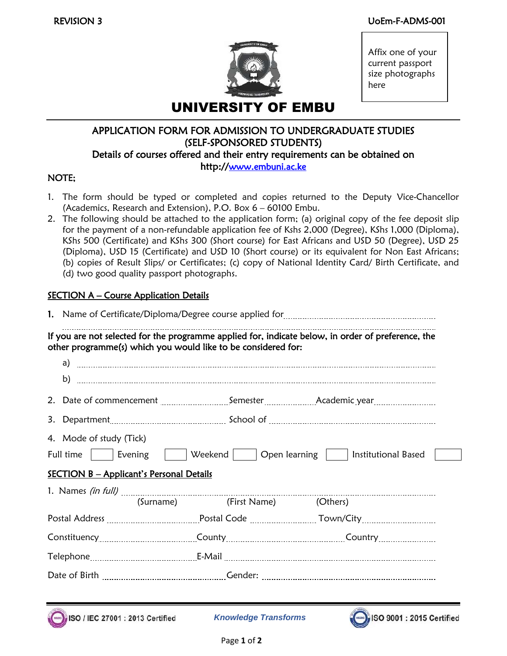

Affix one of your current passport size photographs here

# APPLICATION FORM FOR ADMISSION TO UNDERGRADUATE STUDIES (SELF-SPONSORED STUDENTS) Details of courses offered and their entry requirements can be obtained on http://[www.embuni.ac.ke](http://www.embuni.ac.ke/)

## NOTE;

- 1. The form should be typed or completed and copies returned to the Deputy Vice-Chancellor (Academics, Research and Extension), P.O. Box 6 – 60100 Embu.
- 2. The following should be attached to the application form; (a) original copy of the fee deposit slip for the payment of a non-refundable application fee of Kshs 2,000 (Degree), KShs 1,000 (Diploma), KShs 500 (Certificate) and KShs 300 (Short course) for East Africans and USD 50 (Degree), USD 25 (Diploma), USD 15 (Certificate) and USD 10 (Short course) or its equivalent for Non East Africans; (b) copies of Result Slips/ or Certificates; (c) copy of National Identity Card/ Birth Certificate, and (d) two good quality passport photographs.

# **SECTION A – Course Application Details**

|                                                                                                                                                                    | other programme(s) which you would like to be considered for: |                           | If you are not selected for the programme applied for, indicate below, in order of preference, the                          |  |  |  |
|--------------------------------------------------------------------------------------------------------------------------------------------------------------------|---------------------------------------------------------------|---------------------------|-----------------------------------------------------------------------------------------------------------------------------|--|--|--|
|                                                                                                                                                                    |                                                               |                           |                                                                                                                             |  |  |  |
|                                                                                                                                                                    |                                                               |                           | 2. Date of commencement Semester Academic year                                                                              |  |  |  |
|                                                                                                                                                                    |                                                               |                           |                                                                                                                             |  |  |  |
| 4. Mode of study (Tick)<br>      Weekend       Open learning       Institutional Based<br>Full time     Evening<br><b>SECTION B - Applicant's Personal Details</b> |                                                               |                           |                                                                                                                             |  |  |  |
|                                                                                                                                                                    |                                                               | (Surname)<br>(First Name) | (Others)                                                                                                                    |  |  |  |
|                                                                                                                                                                    |                                                               |                           | Postal Address <b>Manual Exercise Community Postal Code Manual Exercise Town/City Manual Exercise Community Postal Code</b> |  |  |  |
|                                                                                                                                                                    |                                                               |                           |                                                                                                                             |  |  |  |
|                                                                                                                                                                    |                                                               |                           |                                                                                                                             |  |  |  |
|                                                                                                                                                                    |                                                               |                           |                                                                                                                             |  |  |  |



*Knowledge Transforms*